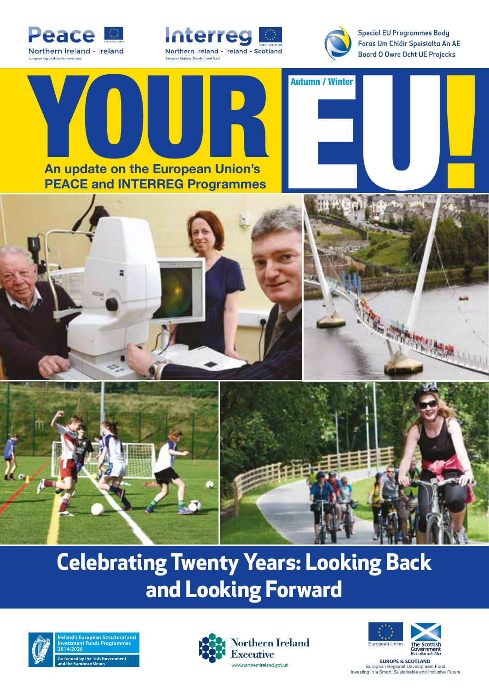





**Special EU Programmes Body** Foras Um Chláir Speisialta An AE **Boord O Owre Ocht UE Projecks** 



### **Celebrating Twenty Years: Looking Back and Looking Forward**



Structural ar  $\frac{1}{200}$  Co-funded by the Irish Government





**EUROPE & SCOTLAND** European Regional Development Fund Investing in a Smart, Sustainable and Inclusive Future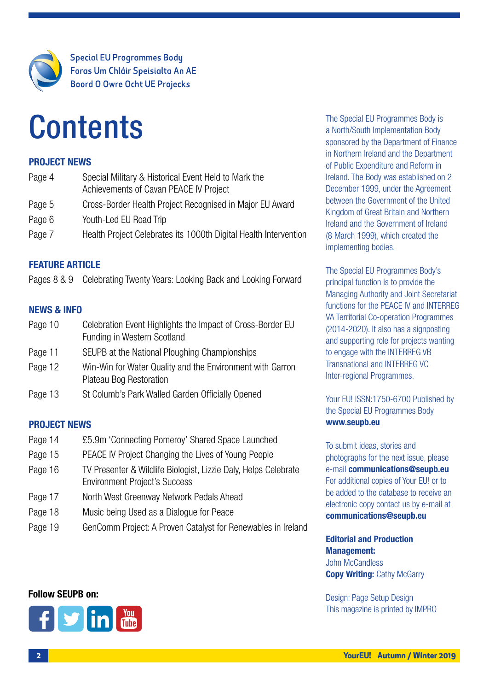

**Special EU Programmes Body** Foras Um Chláir Speisialta An AE **Boord O Owre Ocht UE Projecks** 

## **Contents**

#### PROJECT NEWS

| Page 4 | Special Military & Historical Event Held to Mark the<br>Achievements of Cavan PEACE IV Project |
|--------|------------------------------------------------------------------------------------------------|
| Page 5 | Cross-Border Health Project Recognised in Major EU Award                                       |
| Page 6 | Youth-Led EU Road Trip                                                                         |
| Page 7 | Health Project Celebrates its 1000th Digital Health Intervention                               |

### FEATURE ARTICLE

Pages 8 & 9 Celebrating Twenty Years: Looking Back and Looking Forward

#### NEWS & INFO

| Page 10 | Celebration Event Highlights the Impact of Cross-Border EU |
|---------|------------------------------------------------------------|
|         | Funding in Western Scotland                                |

- Page 11 SEUPB at the National Ploughing Championships
- Page 12 Win-Win for Water Quality and the Environment with Garron Plateau Bog Restoration
- Page 13 St Columb's Park Walled Garden Officially Opened

### PROJECT NEWS

- Page 14 £5.9m 'Connecting Pomeroy' Shared Space Launched
- Page 15 PEACE IV Project Changing the Lives of Young People
- Page 16 TV Presenter & Wildlife Biologist, Lizzie Daly, Helps Celebrate Environment Project's Success
- Page 17 North West Greenway Network Pedals Ahead
- Page 18 Music being Used as a Dialogue for Peace
- Page 19 GenComm Project: A Proven Catalyst for Renewables in Ireland

The Special EU Programmes Body is a North/South Implementation Body sponsored by the Department of Finance in Northern Ireland and the Department of Public Expenditure and Reform in Ireland. The Body was established on 2 December 1999, under the Agreement between the Government of the United Kingdom of Great Britain and Northern Ireland and the Government of Ireland (8 March 1999), which created the implementing bodies.

The Special EU Programmes Body's principal function is to provide the Managing Authority and Joint Secretariat functions for the PEACE IV and INTERREG VA Territorial Co-operation Programmes (2014-2020). It also has a signposting and supporting role for projects wanting to engage with the INTERREG VB Transnational and INTERREG VC Inter-regional Programmes.

Your EU! ISSN:1750-6700 Published by the Special EU Programmes Body www.seupb.eu

To submit ideas, stories and photographs for the next issue, please e-mail communications@seupb.eu For additional copies of Your EU! or to be added to the database to receive an electronic copy contact us by e-mail at communications@seupb.eu

#### Editorial and Production Management: John McCandless **Copy Writing: Cathy McGarry**

Design: Page Setup Design This magazine is printed by IMPRO



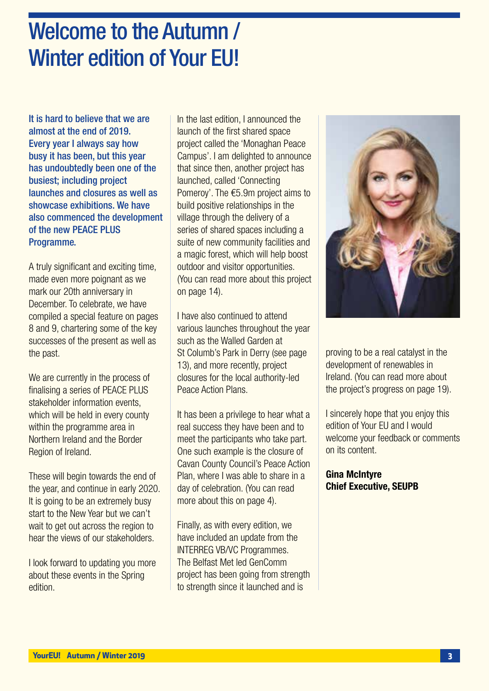### Welcome to the Autumn / Winter edition of Your EU!

It is hard to believe that we are almost at the end of 2019. Every year I always say how busy it has been, but this year has undoubtedly been one of the busiest; including project launches and closures as well as showcase exhibitions. We have also commenced the development of the new PEACE PLUS Programme.

A truly significant and exciting time, made even more poignant as we mark our 20th anniversary in December. To celebrate, we have compiled a special feature on pages 8 and 9, chartering some of the key successes of the present as well as the past.

We are currently in the process of finalising a series of PEACE PLUS stakeholder information events, which will be held in every county within the programme area in Northern Ireland and the Border Region of Ireland.

These will begin towards the end of the year, and continue in early 2020. It is going to be an extremely busy start to the New Year but we can't wait to get out across the region to hear the views of our stakeholders.

I look forward to updating you more about these events in the Spring edition.

In the last edition, I announced the launch of the first shared space project called the 'Monaghan Peace Campus'. I am delighted to announce that since then, another project has launched, called 'Connecting Pomeroy'. The €5.9m project aims to build positive relationships in the village through the delivery of a series of shared spaces including a suite of new community facilities and a magic forest, which will help boost outdoor and visitor opportunities. (You can read more about this project on page 14).

I have also continued to attend various launches throughout the year such as the Walled Garden at St Columb's Park in Derry (see page 13), and more recently, project closures for the local authority-led Peace Action Plans.

It has been a privilege to hear what a real success they have been and to meet the participants who take part. One such example is the closure of Cavan County Council's Peace Action Plan, where I was able to share in a day of celebration. (You can read more about this on page 4).

Finally, as with every edition, we have included an update from the INTERREG VB/VC Programmes. The Belfast Met led GenComm project has been going from strength to strength since it launched and is



proving to be a real catalyst in the development of renewables in Ireland. (You can read more about the project's progress on page 19).

I sincerely hope that you enjoy this edition of Your EU and I would welcome your feedback or comments on its content.

Gina McIntyre Chief Executive, SEUPB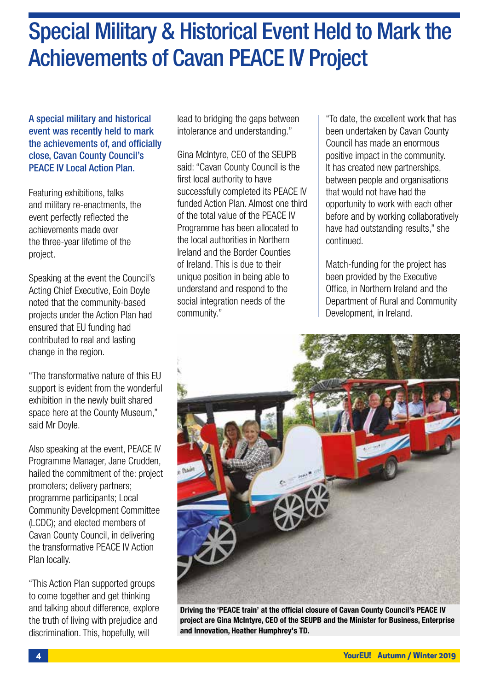### Special Military & Historical Event Held to Mark the Achievements of Cavan PEACE IV Project

A special military and historical event was recently held to mark the achievements of, and officially close, Cavan County Council's PEACE IV Local Action Plan.

Featuring exhibitions, talks and military re-enactments, the event perfectly reflected the achievements made over the three-year lifetime of the project.

Speaking at the event the Council's Acting Chief Executive, Eoin Doyle noted that the community-based projects under the Action Plan had ensured that EU funding had contributed to real and lasting change in the region.

"The transformative nature of this EU support is evident from the wonderful exhibition in the newly built shared space here at the County Museum," said Mr Doyle.

Also speaking at the event, PEACE IV Programme Manager, Jane Crudden, hailed the commitment of the: project promoters; delivery partners; programme participants; Local Community Development Committee (LCDC); and elected members of Cavan County Council, in delivering the transformative PEACE IV Action Plan locally.

"This Action Plan supported groups to come together and get thinking and talking about difference, explore the truth of living with prejudice and discrimination. This, hopefully, will

lead to bridging the gaps between intolerance and understanding."

Gina McIntyre, CEO of the SEUPB said: "Cavan County Council is the first local authority to have successfully completed its PEACE IV funded Action Plan. Almost one third of the total value of the PEACE IV Programme has been allocated to the local authorities in Northern Ireland and the Border Counties of Ireland. This is due to their unique position in being able to understand and respond to the social integration needs of the community."

"To date, the excellent work that has been undertaken by Cavan County Council has made an enormous positive impact in the community. It has created new partnerships, between people and organisations that would not have had the opportunity to work with each other before and by working collaboratively have had outstanding results," she continued.

Match-funding for the project has been provided by the Executive Office, in Northern Ireland and the Department of Rural and Community Development, in Ireland.



project are Gina McIntyre, CEO of the SEUPB and the Minister for Business, Enterprise and Innovation, Heather Humphrey's TD.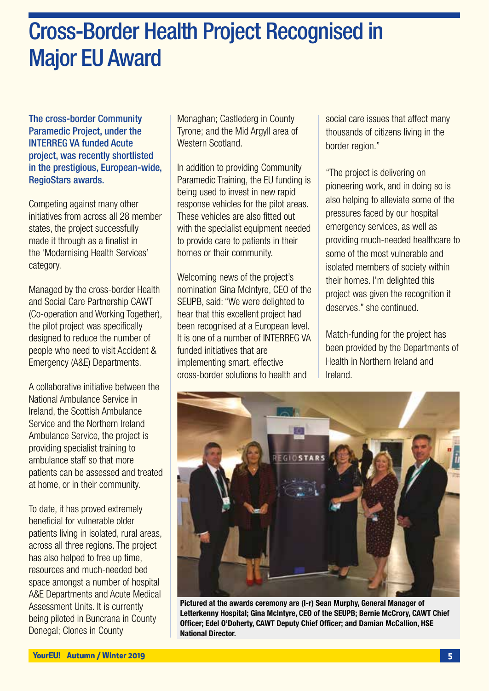### Cross-Border Health Project Recognised in Major EU Award

The cross-border Community Paramedic Project, under the INTERREG VA funded Acute project, was recently shortlisted in the prestigious, European-wide, RegioStars awards.

Competing against many other initiatives from across all 28 member states, the project successfully made it through as a finalist in the 'Modernising Health Services' category.

Managed by the cross-border Health and Social Care Partnership CAWT (Co-operation and Working Together), the pilot project was specifically designed to reduce the number of people who need to visit Accident & Emergency (A&E) Departments.

A collaborative initiative between the National Ambulance Service in Ireland, the Scottish Ambulance Service and the Northern Ireland Ambulance Service, the project is providing specialist training to ambulance staff so that more patients can be assessed and treated at home, or in their community.

To date, it has proved extremely beneficial for vulnerable older patients living in isolated, rural areas, across all three regions. The project has also helped to free up time, resources and much-needed bed space amongst a number of hospital A&E Departments and Acute Medical Assessment Units. It is currently being piloted in Buncrana in County Donegal; Clones in County

Monaghan; Castlederg in County Tyrone; and the Mid Argyll area of Western Scotland

In addition to providing Community Paramedic Training, the EU funding is being used to invest in new rapid response vehicles for the pilot areas. These vehicles are also fitted out with the specialist equipment needed to provide care to patients in their homes or their community.

Welcoming news of the project's nomination Gina McIntyre, CEO of the SEUPB, said: "We were delighted to hear that this excellent project had been recognised at a European level. It is one of a number of INTERREG VA funded initiatives that are implementing smart, effective cross-border solutions to health and

social care issues that affect many thousands of citizens living in the border region."

"The project is delivering on pioneering work, and in doing so is also helping to alleviate some of the pressures faced by our hospital emergency services, as well as providing much-needed healthcare to some of the most vulnerable and isolated members of society within their homes. I'm delighted this project was given the recognition it deserves." she continued.

Match-funding for the project has been provided by the Departments of Health in Northern Ireland and Ireland.



Pictured at the awards ceremony are (l-r) Sean Murphy, General Manager of Letterkenny Hospital; Gina McIntyre, CEO of the SEUPB; Bernie McCrory, CAWT Chief Officer; Edel O'Doherty, CAWT Deputy Chief Officer; and Damian McCallion, HSE National Director.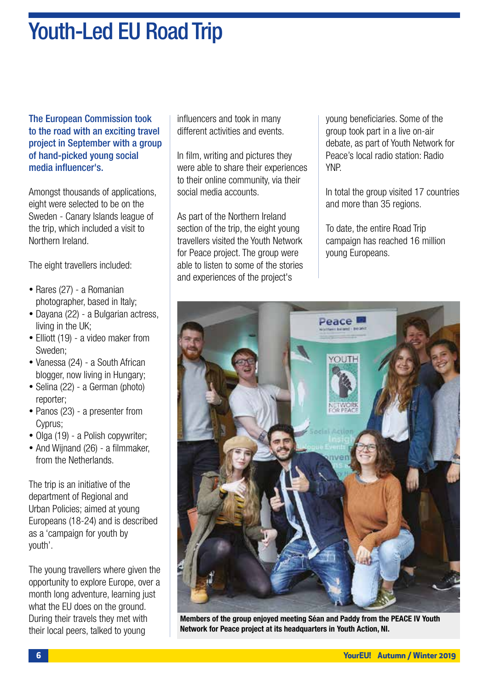### Youth-Led EU Road Trip

The European Commission took to the road with an exciting travel project in September with a group of hand-picked young social media influencer's.

Amongst thousands of applications, eight were selected to be on the Sweden - Canary Islands league of the trip, which included a visit to Northern Ireland.

The eight travellers included:

- Rares (27) a Romanian photographer, based in Italy;
- Dayana (22) a Bulgarian actress, living in the UK;
- Elliott (19) a video maker from Sweden;
- Vanessa (24) a South African blogger, now living in Hungary;
- Selina (22) a German (photo) reporter;
- Panos (23) a presenter from Cyprus;
- Olga (19) a Polish copywriter;
- And Wiinand (26) a filmmaker, from the Netherlands.

The trip is an initiative of the department of Regional and Urban Policies; aimed at young Europeans (18-24) and is described as a 'campaign for youth by youth'.

The young travellers where given the opportunity to explore Europe, over a month long adventure, learning just what the EU does on the ground. During their travels they met with their local peers, talked to young

influencers and took in many different activities and events.

In film, writing and pictures they were able to share their experiences to their online community, via their social media accounts.

As part of the Northern Ireland section of the trip, the eight young travellers visited the Youth Network for Peace project. The group were able to listen to some of the stories and experiences of the project's

young beneficiaries. Some of the group took part in a live on-air debate, as part of Youth Network for Peace's local radio station: Radio YNP.

In total the group visited 17 countries and more than 35 regions.

To date, the entire Road Trip campaign has reached 16 million young Europeans.



Members of the group enjoyed meeting Séan and Paddy from the PEACE IV Youth Network for Peace project at its headquarters in Youth Action, NI.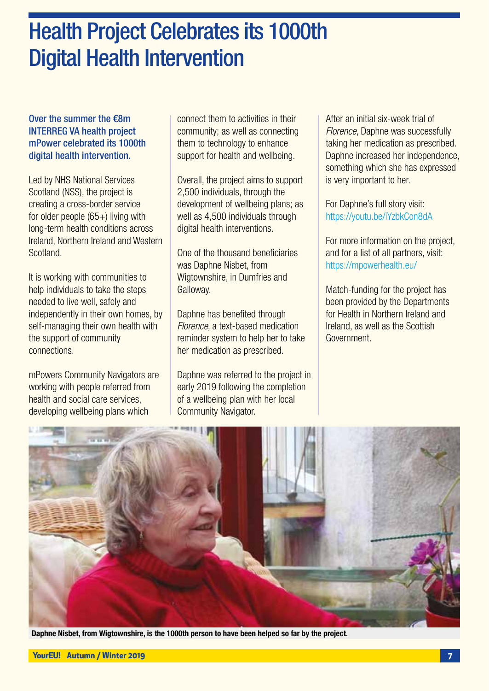### Health Project Celebrates its 1000th Digital Health Intervention

#### Over the summer the €8m INTERREG VA health project mPower celebrated its 1000th digital health intervention.

Led by NHS National Services Scotland (NSS), the project is creating a cross-border service for older people (65+) living with long-term health conditions across Ireland, Northern Ireland and Western **Scotland** 

It is working with communities to help individuals to take the steps needed to live well, safely and independently in their own homes, by self-managing their own health with the support of community connections.

mPowers Community Navigators are working with people referred from health and social care services, developing wellbeing plans which

connect them to activities in their community; as well as connecting them to technology to enhance support for health and wellbeing.

Overall, the project aims to support 2,500 individuals, through the development of wellbeing plans; as well as 4,500 individuals through digital health interventions.

One of the thousand beneficiaries was Daphne Nisbet, from Wigtownshire, in Dumfries and Galloway.

Daphne has benefited through *Florence*, a text-based medication reminder system to help her to take her medication as prescribed.

Daphne was referred to the project in early 2019 following the completion of a wellbeing plan with her local Community Navigator.

After an initial six-week trial of *Florence*, Daphne was successfully taking her medication as prescribed. Daphne increased her independence, something which she has expressed is very important to her.

For Daphne's full story visit: https://youtu.be/iYzbkCon8dA

For more information on the project, and for a list of all partners, visit: https://mpowerhealth.eu/

Match-funding for the project has been provided by the Departments for Health in Northern Ireland and Ireland, as well as the Scottish Government.



Daphne Nisbet, from Wigtownshire, is the 1000th person to have been helped so far by the project.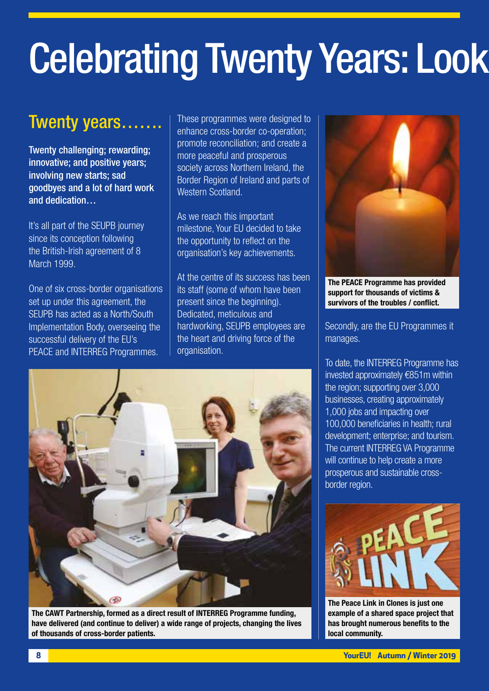# **Celebrating Twenty Years: Look**

### Twenty years…….

Twenty challenging; rewarding; innovative; and positive years; involving new starts; sad goodbyes and a lot of hard work and dedication…

It's all part of the SEUPB journey since its conception following the British-Irish agreement of 8 March 1999.

One of six cross-border organisations set up under this agreement, the SEUPB has acted as a North/South Implementation Body, overseeing the successful delivery of the EU's PEACE and INTERREG Programmes.

These programmes were designed to enhance cross-border co-operation; promote reconciliation; and create a more peaceful and prosperous society across Northern Ireland, the Border Region of Ireland and parts of Western Scotland.

As we reach this important milestone, Your EU decided to take the opportunity to reflect on the organisation's key achievements.

At the centre of its success has been its staff (some of whom have been present since the beginning). Dedicated, meticulous and hardworking, SEUPB employees are the heart and driving force of the organisation.



The CAWT Partnership, formed as a direct result of INTERREG Programme funding, have delivered (and continue to deliver) a wide range of projects, changing the lives of thousands of cross-border patients.



The PEACE Programme has provided support for thousands of victims & survivors of the troubles / conflict.

Secondly, are the EU Programmes it manages.

To date, the INTERREG Programme has invested approximately €851m within the region; supporting over 3,000 businesses, creating approximately 1,000 jobs and impacting over 100,000 beneficiaries in health; rural development; enterprise; and tourism. The current INTERREG VA Programme will continue to help create a more prosperous and sustainable crossborder region.



The Peace Link in Clones is just one example of a shared space project that has brought numerous benefits to the local community.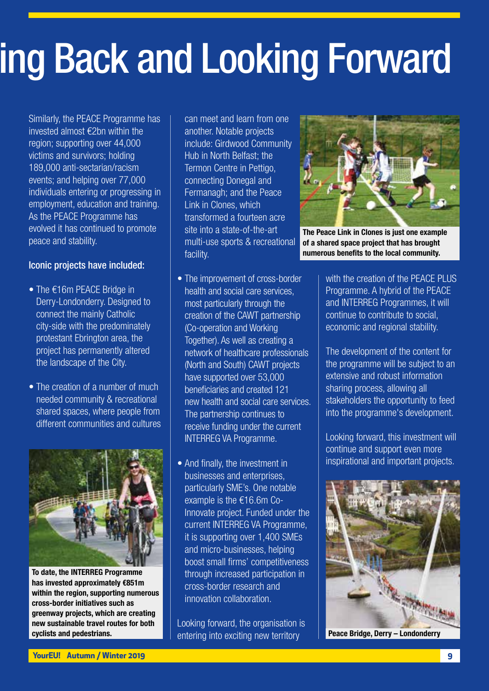## ing Back and Looking Forward

Similarly, the PEACE Programme has invested almost €2bn within the region; supporting over 44,000 victims and survivors; holding 189,000 anti-sectarian/racism events; and helping over 77,000 individuals entering or progressing in employment, education and training. As the PEACE Programme has evolved it has continued to promote peace and stability.

#### Iconic projects have included:

- The €16m PEACE Bridge in Derry-Londonderry. Designed to connect the mainly Catholic city-side with the predominately protestant Ebrington area, the project has permanently altered the landscape of the City.
- The creation of a number of much needed community & recreational shared spaces, where people from different communities and cultures



To date, the INTERREG Programme has invested approximately €851m within the region, supporting numerous cross-border initiatives such as greenway projects, which are creating new sustainable travel routes for both cyclists and pedestrians.

can meet and learn from one another. Notable projects include: Girdwood Community Hub in North Belfast; the Termon Centre in Pettigo, connecting Donegal and Fermanagh; and the Peace Link in Clones, which transformed a fourteen acre site into a state-of-the-art multi-use sports & recreational facility.

- The improvement of cross-border health and social care services, most particularly through the creation of the CAWT partnership (Co-operation and Working Together). As well as creating a network of healthcare professionals (North and South) CAWT projects have supported over 53,000 beneficiaries and created 121 new health and social care services. The partnership continues to receive funding under the current INTERREG VA Programme.
- And finally, the investment in businesses and enterprises, particularly SME's. One notable example is the €16.6m Co-Innovate project. Funded under the current INTERREG VA Programme, it is supporting over 1,400 SMEs and micro-businesses, helping boost small firms' competitiveness through increased participation in cross-border research and innovation collaboration.

Looking forward, the organisation is entering into exciting new territory



The Peace Link in Clones is just one example of a shared space project that has brought numerous benefits to the local community.

with the creation of the PFACF PLUS Programme. A hybrid of the PEACE and INTERREG Programmes, it will continue to contribute to social, economic and regional stability.

The development of the content for the programme will be subject to an extensive and robust information sharing process, allowing all stakeholders the opportunity to feed into the programme's development.

Looking forward, this investment will continue and support even more inspirational and important projects.



Peace Bridge, Derry – Londonderry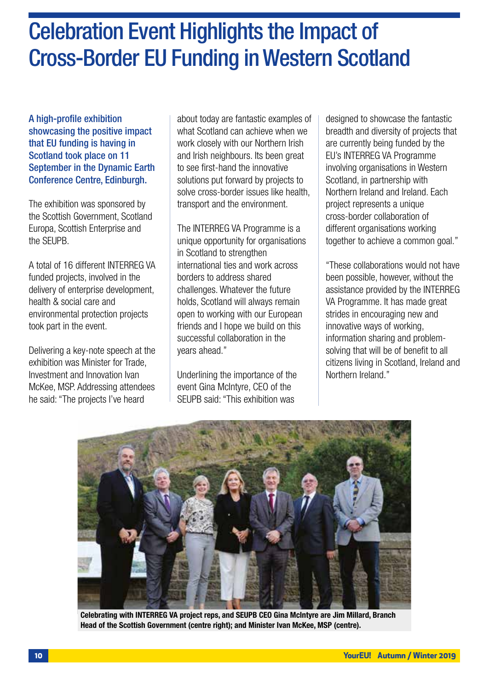### Celebration Event Highlights the Impact of Cross-Border EU Funding in Western Scotland

A high-profile exhibition showcasing the positive impact that EU funding is having in Scotland took place on 11 September in the Dynamic Earth Conference Centre, Edinburgh.

The exhibition was sponsored by the Scottish Government, Scotland Europa, Scottish Enterprise and the SEUPB.

A total of 16 different INTERREG VA funded projects, involved in the delivery of enterprise development. health & social care and environmental protection projects took part in the event.

Delivering a key-note speech at the exhibition was Minister for Trade, Investment and Innovation Ivan McKee, MSP. Addressing attendees he said: "The projects I've heard

about today are fantastic examples of what Scotland can achieve when we work closely with our Northern Irish and Irish neighbours. Its been great to see first-hand the innovative solutions put forward by projects to solve cross-border issues like health, transport and the environment.

The INTERREG VA Programme is a unique opportunity for organisations in Scotland to strengthen international ties and work across borders to address shared challenges. Whatever the future holds, Scotland will always remain open to working with our European friends and I hope we build on this successful collaboration in the years ahead."

Underlining the importance of the event Gina McIntyre, CEO of the SEUPB said: "This exhibition was

designed to showcase the fantastic breadth and diversity of projects that are currently being funded by the EU's INTERREG VA Programme involving organisations in Western Scotland, in partnership with Northern Ireland and Ireland. Each project represents a unique cross-border collaboration of different organisations working together to achieve a common goal."

"These collaborations would not have been possible, however, without the assistance provided by the INTERREG VA Programme. It has made great strides in encouraging new and innovative ways of working, information sharing and problemsolving that will be of benefit to all citizens living in Scotland, Ireland and Northern Ireland."



Celebrating with INTERREG VA project reps, and SEUPB CEO Gina McIntyre are Jim Millard, Branch Head of the Scottish Government (centre right); and Minister Ivan McKee, MSP (centre).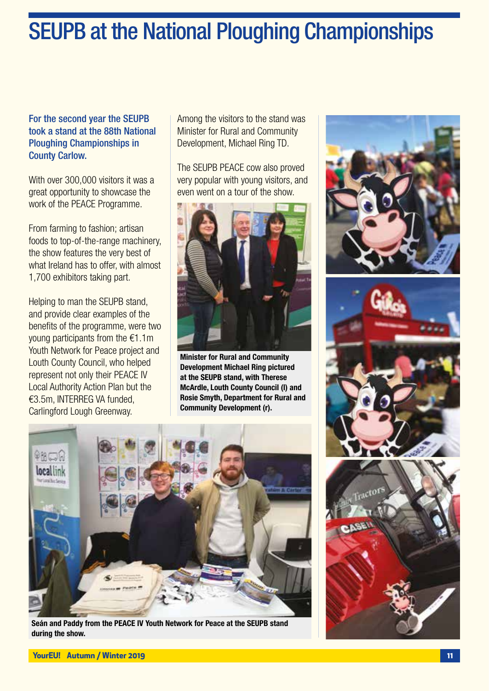### SEUPB at the National Ploughing Championships

#### For the second year the SEUPB took a stand at the 88th National Ploughing Championships in County Carlow.

With over 300,000 visitors it was a great opportunity to showcase the work of the PEACE Programme.

From farming to fashion; artisan foods to top-of-the-range machinery, the show features the very best of what Ireland has to offer, with almost 1,700 exhibitors taking part.

Helping to man the SEUPB stand, and provide clear examples of the benefits of the programme, were two young participants from the €1.1m Youth Network for Peace project and Louth County Council, who helped represent not only their PEACE IV Local Authority Action Plan but the €3.5m, INTERREG VA funded, Carlingford Lough Greenway.

Among the visitors to the stand was Minister for Rural and Community Development, Michael Ring TD.

The SEUPB PEACE cow also proved very popular with young visitors, and even went on a tour of the show.



Minister for Rural and Community Development Michael Ring pictured at the SEUPB stand, with Therese McArdle, Louth County Council (l) and Rosie Smyth, Department for Rural and Community Development (r).



Seán and Paddy from the PEACE IV Youth Network for Peace at the SEUPB stand during the show.

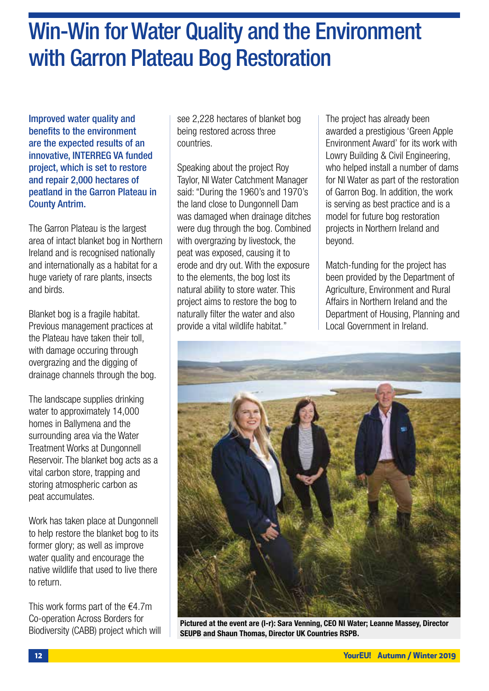### Win-Win for Water Quality and the Environment with Garron Plateau Bog Restoration

Improved water quality and benefits to the environment are the expected results of an innovative, INTERREG VA funded project, which is set to restore and repair 2,000 hectares of peatland in the Garron Plateau in County Antrim.

The Garron Plateau is the largest area of intact blanket bog in Northern Ireland and is recognised nationally and internationally as a habitat for a huge variety of rare plants, insects and birds.

Blanket bog is a fragile habitat. Previous management practices at the Plateau have taken their toll, with damage occuring through overgrazing and the digging of drainage channels through the bog.

The landscape supplies drinking water to approximately 14,000 homes in Ballymena and the surrounding area via the Water Treatment Works at Dungonnell Reservoir. The blanket bog acts as a vital carbon store, trapping and storing atmospheric carbon as peat accumulates.

Work has taken place at Dungonnell to help restore the blanket bog to its former glory; as well as improve water quality and encourage the native wildlife that used to live there to return.

This work forms part of the  $€4.7m$ Co-operation Across Borders for Biodiversity (CABB) project which will see 2,228 hectares of blanket bog being restored across three countries.

Speaking about the project Roy Taylor, NI Water Catchment Manager said: "During the 1960's and 1970's the land close to Dungonnell Dam was damaged when drainage ditches were dug through the bog. Combined with overgrazing by livestock, the peat was exposed, causing it to erode and dry out. With the exposure to the elements, the bog lost its natural ability to store water. This project aims to restore the bog to naturally filter the water and also provide a vital wildlife habitat."

The project has already been awarded a prestigious 'Green Apple Environment Award' for its work with Lowry Building & Civil Engineering, who helped install a number of dams for NI Water as part of the restoration of Garron Bog. In addition, the work is serving as best practice and is a model for future bog restoration projects in Northern Ireland and beyond.

Match-funding for the project has been provided by the Department of Agriculture, Environment and Rural Affairs in Northern Ireland and the Department of Housing, Planning and Local Government in Ireland.



Pictured at the event are (l-r): Sara Venning, CEO NI Water; Leanne Massey, Director SEUPB and Shaun Thomas, Director UK Countries RSPB.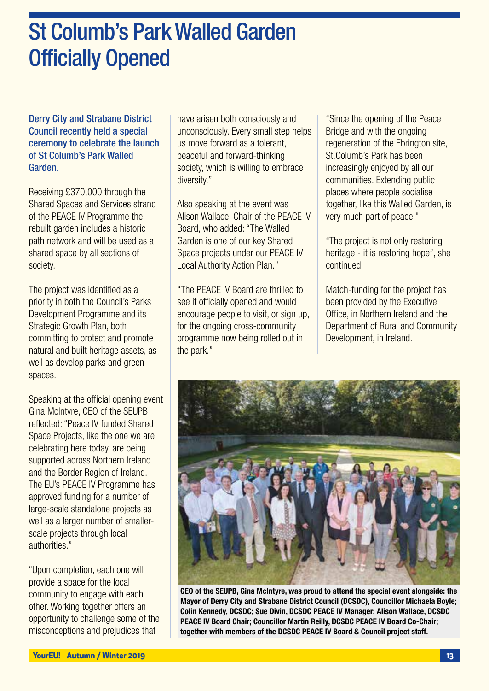### St Columb's Park Walled Garden Officially Opened

Derry City and Strabane District Council recently held a special ceremony to celebrate the launch of St Columb's Park Walled Garden.

Receiving £370,000 through the Shared Spaces and Services strand of the PEACE IV Programme the rebuilt garden includes a historic path network and will be used as a shared space by all sections of society.

The project was identified as a priority in both the Council's Parks Development Programme and its Strategic Growth Plan, both committing to protect and promote natural and built heritage assets, as well as develop parks and green spaces.

Speaking at the official opening event Gina McIntyre, CEO of the SEUPB reflected: "Peace IV funded Shared Space Projects, like the one we are celebrating here today, are being supported across Northern Ireland and the Border Region of Ireland. The EU's PEACE IV Programme has approved funding for a number of large-scale standalone projects as well as a larger number of smallerscale projects through local authorities."

"Upon completion, each one will provide a space for the local community to engage with each other. Working together offers an opportunity to challenge some of the misconceptions and prejudices that

have arisen both consciously and unconsciously. Every small step helps us move forward as a tolerant, peaceful and forward-thinking society, which is willing to embrace diversity."

Also speaking at the event was Alison Wallace, Chair of the PEACE IV Board, who added: "The Walled Garden is one of our key Shared Space projects under our PEACE IV Local Authority Action Plan."

"The PEACE IV Board are thrilled to see it officially opened and would encourage people to visit, or sign up, for the ongoing cross-community programme now being rolled out in the park."

"Since the opening of the Peace Bridge and with the ongoing regeneration of the Ebrington site, St.Columb's Park has been increasingly enjoyed by all our communities. Extending public places where people socialise together, like this Walled Garden, is very much part of peace."

"The project is not only restoring heritage - it is restoring hope", she continued.

Match-funding for the project has been provided by the Executive Office, in Northern Ireland and the Department of Rural and Community Development, in Ireland.



CEO of the SEUPB, Gina McIntyre, was proud to attend the special event alongside: the Mayor of Derry City and Strabane District Council (DCSDC), Councillor Michaela Boyle; Colin Kennedy, DCSDC; Sue Divin, DCSDC PEACE IV Manager; Alison Wallace, DCSDC PEACE IV Board Chair; Councillor Martin Reilly, DCSDC PEACE IV Board Co-Chair; together with members of the DCSDC PEACE IV Board & Council project staff.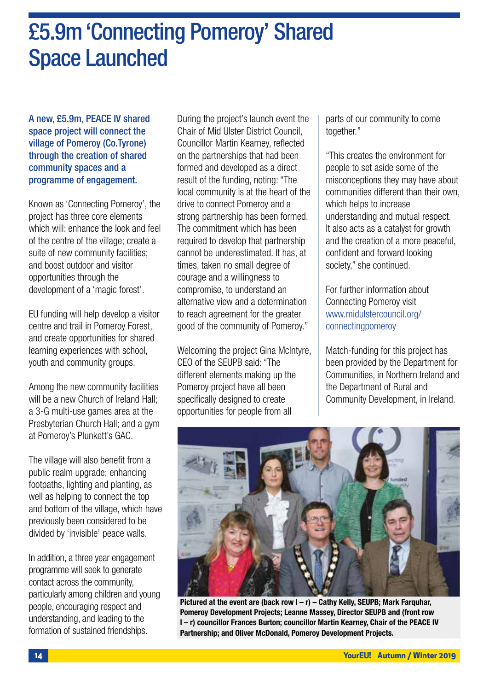### £5.9m 'Connecting Pomeroy' Shared Space Launched

A new, £5.9m, PEACE IV shared space project will connect the village of Pomeroy (Co.Tyrone) through the creation of shared community spaces and a programme of engagement.

Known as 'Connecting Pomeroy', the project has three core elements which will: enhance the look and feel of the centre of the village; create a suite of new community facilities; and boost outdoor and visitor opportunities through the development of a 'magic forest'.

EU funding will help develop a visitor centre and trail in Pomeroy Forest, and create opportunities for shared learning experiences with school, youth and community groups.

Among the new community facilities will be a new Church of Ireland Hall: a 3-G multi-use games area at the Presbyterian Church Hall; and a gym at Pomeroy's Plunkett's GAC.

The village will also benefit from a public realm upgrade; enhancing footpaths, lighting and planting, as well as helping to connect the top and bottom of the village, which have previously been considered to be divided by 'invisible' peace walls.

In addition, a three year engagement programme will seek to generate contact across the community, particularly among children and young people, encouraging respect and understanding, and leading to the formation of sustained friendships.

During the project's launch event the Chair of Mid Ulster District Council, Councillor Martin Kearney, reflected on the partnerships that had been formed and developed as a direct result of the funding, noting: "The local community is at the heart of the drive to connect Pomeroy and a strong partnership has been formed. The commitment which has been required to develop that partnership cannot be underestimated. It has, at times, taken no small degree of courage and a willingness to compromise, to understand an alternative view and a determination to reach agreement for the greater good of the community of Pomeroy."

Welcoming the project Gina McIntyre, CEO of the SEUPB said: "The different elements making up the Pomeroy project have all been specifically designed to create opportunities for people from all

parts of our community to come together."

"This creates the environment for people to set aside some of the misconceptions they may have about communities different than their own, which helps to increase understanding and mutual respect. It also acts as a catalyst for growth and the creation of a more peaceful, confident and forward looking society," she continued.

For further information about Connecting Pomeroy visit www.midulstercouncil.org/ connectingpomeroy

Match-funding for this project has been provided by the Department for Communities, in Northern Ireland and the Department of Rural and Community Development, in Ireland.



Pictured at the event are (back row  $I - r$ ) – Cathy Kelly, SEUPB; Mark Farquhar, Pomeroy Development Projects; Leanne Massey, Director SEUPB and (front row l – r) councillor Frances Burton; councillor Martin Kearney, Chair of the PEACE IV Partnership; and Oliver McDonald, Pomeroy Development Projects.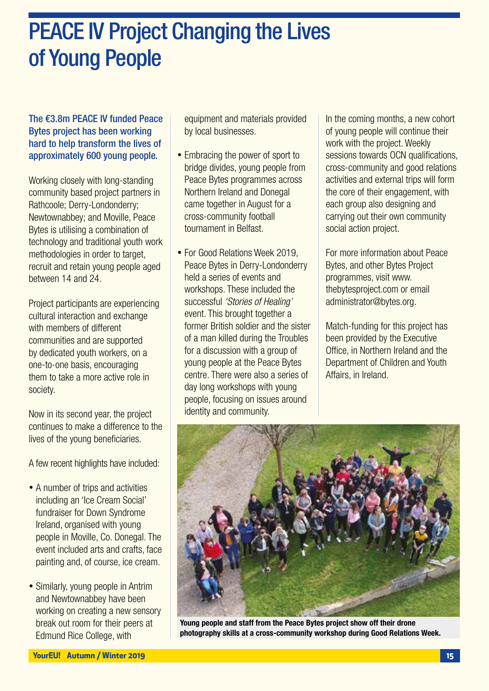### PEACE IV Project Changing the Lives of Young People

### The €3.8m PEACE IV funded Peace Bytes project has been working hard to help transform the lives of approximately 600 young people.

Working closely with long-standing community based project partners in Rathcoole; Derry-Londonderry; Newtownabbey; and Moville, Peace Bytes is utilising a combination of technology and traditional youth work methodologies in order to target, recruit and retain young people aged between 14 and 24.

Project participants are experiencing cultural interaction and exchange with members of different communities and are supported by dedicated youth workers, on a one-to-one basis, encouraging them to take a more active role in society.

Now in its second year, the project continues to make a difference to the lives of the young beneficiaries.

A few recent highlights have included:

- A number of trips and activities including an 'Ice Cream Social' fundraiser for Down Syndrome Ireland, organised with young people in Moville, Co. Donegal. The event included arts and crafts, face painting and, of course, ice cream.
- Similarly, young people in Antrim and Newtownabbey have been working on creating a new sensory break out room for their peers at Edmund Rice College, with

equipment and materials provided by local businesses.

- Embracing the power of sport to bridge divides, young people from Peace Bytes programmes across Northern Ireland and Donegal came together in August for a cross-community football tournament in Belfast.
- For Good Relations Week 2019, Peace Bytes in Derry-Londonderry held a series of events and workshops. These included the successful *'Stories of Healing'* event. This brought together a former British soldier and the sister of a man killed during the Troubles for a discussion with a group of young people at the Peace Bytes centre. There were also a series of day long workshops with young people, focusing on issues around identity and community.

In the coming months, a new cohort of young people will continue their work with the project. Weekly sessions towards OCN qualifications, cross-community and good relations activities and external trips will form the core of their engagement, with each group also designing and carrying out their own community social action project.

For more information about Peace Bytes, and other Bytes Project programmes, visit www. thebytesproject.com or email administrator@bytes.org.

Match-funding for this project has been provided by the Executive Office, in Northern Ireland and the Department of Children and Youth Affairs, in Ireland.



Young people and staff from the Peace Bytes project show off their drone photography skills at a cross-community workshop during Good Relations Week.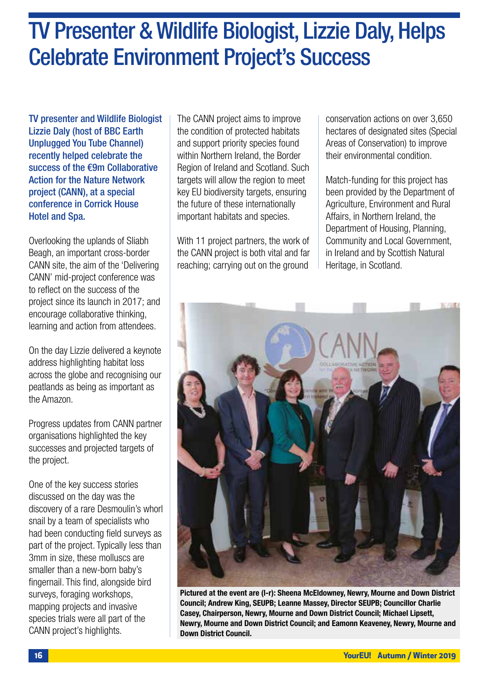### TV Presenter & Wildlife Biologist, Lizzie Daly, Helps Celebrate Environment Project's Success

TV presenter and Wildlife Biologist Lizzie Daly (host of BBC Earth Unplugged You Tube Channel) recently helped celebrate the success of the €9m Collaborative Action for the Nature Network project (CANN), at a special conference in Corrick House Hotel and Spa.

Overlooking the uplands of Sliabh Beagh, an important cross-border CANN site, the aim of the 'Delivering CANN' mid-project conference was to reflect on the success of the project since its launch in 2017; and encourage collaborative thinking, learning and action from attendees.

On the day Lizzie delivered a keynote address highlighting habitat loss across the globe and recognising our peatlands as being as important as the Amazon.

Progress updates from CANN partner organisations highlighted the key successes and projected targets of the project.

One of the key success stories discussed on the day was the discovery of a rare Desmoulin's whorl snail by a team of specialists who had been conducting field surveys as part of the project. Typically less than 3mm in size, these molluscs are smaller than a new-born baby's fingernail. This find, alongside bird surveys, foraging workshops, mapping projects and invasive species trials were all part of the CANN project's highlights.

The CANN project aims to improve the condition of protected habitats and support priority species found within Northern Ireland, the Border Region of Ireland and Scotland. Such targets will allow the region to meet key EU biodiversity targets, ensuring the future of these internationally important habitats and species.

With 11 project partners, the work of the CANN project is both vital and far reaching; carrying out on the ground

conservation actions on over 3,650 hectares of designated sites (Special Areas of Conservation) to improve their environmental condition.

Match-funding for this project has been provided by the Department of Agriculture, Environment and Rural Affairs, in Northern Ireland, the Department of Housing, Planning, Community and Local Government, in Ireland and by Scottish Natural Heritage, in Scotland.



Pictured at the event are (l-r): Sheena McEldowney, Newry, Mourne and Down District Council; Andrew King, SEUPB; Leanne Massey, Director SEUPB; Councillor Charlie Casey, Chairperson, Newry, Mourne and Down District Council; Michael Lipsett, Newry, Mourne and Down District Council; and Eamonn Keaveney, Newry, Mourne and Down District Council.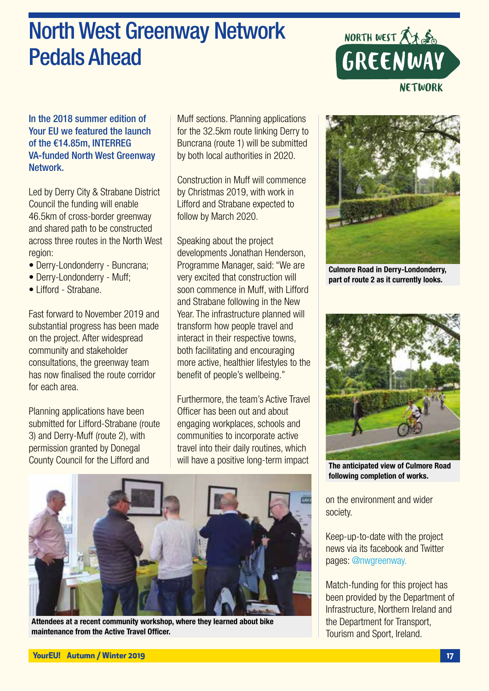### North West Greenway Network Pedals Ahead



### In the 2018 summer edition of Your EU we featured the launch of the €14.85m, INTERREG VA-funded North West Greenway Network.

Led by Derry City & Strabane District Council the funding will enable 46.5km of cross-border greenway and shared path to be constructed across three routes in the North West region:

- Derry-Londonderry Buncrana;
- Derry-Londonderry Muff;
- Lifford Strabane.

Fast forward to November 2019 and substantial progress has been made on the project. After widespread community and stakeholder consultations, the greenway team has now finalised the route corridor for each area.

Planning applications have been submitted for Lifford-Strabane (route 3) and Derry-Muff (route 2), with permission granted by Donegal County Council for the Lifford and

Muff sections. Planning applications for the 32.5km route linking Derry to Buncrana (route 1) will be submitted by both local authorities in 2020.

Construction in Muff will commence by Christmas 2019, with work in Lifford and Strabane expected to follow by March 2020.

Speaking about the project developments Jonathan Henderson, Programme Manager, said: "We are very excited that construction will soon commence in Muff, with Lifford and Strabane following in the New Year. The infrastructure planned will transform how people travel and interact in their respective towns, both facilitating and encouraging more active, healthier lifestyles to the benefit of people's wellbeing."

Furthermore, the team's Active Travel Officer has been out and about engaging workplaces, schools and communities to incorporate active travel into their daily routines, which will have a positive long-term impact



Attendees at a recent community workshop, where they learned about bike maintenance from the Active Travel Officer.



Culmore Road in Derry-Londonderry, part of route 2 as it currently looks.



The anticipated view of Culmore Road following completion of works.

on the environment and wider society.

Keep-up-to-date with the project news via its facebook and Twitter pages: @nwgreenway.

Match-funding for this project has been provided by the Department of Infrastructure, Northern Ireland and the Department for Transport, Tourism and Sport, Ireland.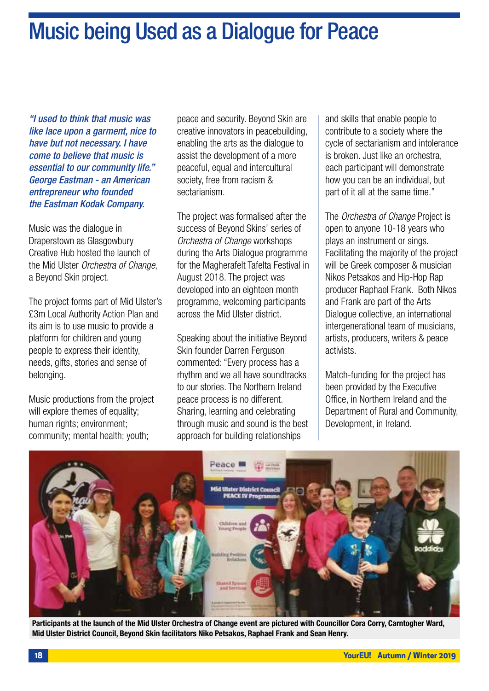### Music being Used as a Dialogue for Peace

*"I used to think that music was like lace upon a garment, nice to have but not necessary. I have come to believe that music is essential to our community life." George Eastman - an American entrepreneur who founded the Eastman Kodak Company.* 

Music was the dialogue in Draperstown as Glasgowbury Creative Hub hosted the launch of the Mid Ulster *Orchestra of Change*, a Beyond Skin project.

The project forms part of Mid Ulster's £3m Local Authority Action Plan and its aim is to use music to provide a platform for children and young people to express their identity, needs, gifts, stories and sense of belonging.

Music productions from the project will explore themes of equality; human rights; environment; community; mental health; youth;

peace and security. Beyond Skin are creative innovators in peacebuilding, enabling the arts as the dialogue to assist the development of a more peaceful, equal and intercultural society, free from racism & sectarianism.

The project was formalised after the success of Beyond Skins' series of *Orchestra of Change* workshops during the Arts Dialogue programme for the Magherafelt Tafelta Festival in August 2018. The project was developed into an eighteen month programme, welcoming participants across the Mid Ulster district.

Speaking about the initiative Beyond Skin founder Darren Ferguson commented: "Every process has a rhythm and we all have soundtracks to our stories. The Northern Ireland peace process is no different. Sharing, learning and celebrating through music and sound is the best approach for building relationships

and skills that enable people to contribute to a society where the cycle of sectarianism and intolerance is broken. Just like an orchestra, each participant will demonstrate how you can be an individual, but part of it all at the same time."

The *Orchestra of Change* Project is open to anyone 10-18 years who plays an instrument or sings. Facilitating the majority of the project will be Greek composer & musician Nikos Petsakos and Hip-Hop Rap producer Raphael Frank. Both Nikos and Frank are part of the Arts Dialogue collective, an international intergenerational team of musicians, artists, producers, writers & peace activists.

Match-funding for the project has been provided by the Executive Office, in Northern Ireland and the Department of Rural and Community, Development, in Ireland.



Participants at the launch of the Mid Ulster Orchestra of Change event are pictured with Councillor Cora Corry, Carntogher Ward, Mid Ulster District Council, Beyond Skin facilitators Niko Petsakos, Raphael Frank and Sean Henry.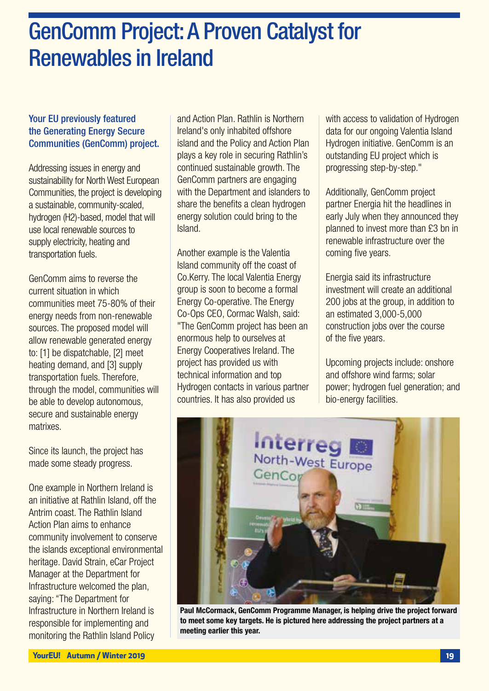### GenComm Project: A Proven Catalyst for Renewables in Ireland

#### Your EU previously featured the Generating Energy Secure Communities (GenComm) project.

Addressing issues in energy and sustainability for North West European Communities, the project is developing a sustainable, community-scaled, hydrogen (H2)-based, model that will use local renewable sources to supply electricity, heating and transportation fuels.

GenComm aims to reverse the current situation in which communities meet 75-80% of their energy needs from non-renewable sources. The proposed model will allow renewable generated energy to: [1] be dispatchable, [2] meet heating demand, and [3] supply transportation fuels. Therefore, through the model, communities will be able to develop autonomous, secure and sustainable energy matrixes.

Since its launch, the project has made some steady progress.

One example in Northern Ireland is an initiative at Rathlin Island, off the Antrim coast. The Rathlin Island Action Plan aims to enhance community involvement to conserve the islands exceptional environmental heritage. David Strain, eCar Project Manager at the Department for Infrastructure welcomed the plan, saying: "The Department for Infrastructure in Northern Ireland is responsible for implementing and monitoring the Rathlin Island Policy

and Action Plan. Rathlin is Northern Ireland's only inhabited offshore island and the Policy and Action Plan plays a key role in securing Rathlin's continued sustainable growth. The GenComm partners are engaging with the Department and islanders to share the benefits a clean hydrogen energy solution could bring to the Island.

Another example is the Valentia Island community off the coast of Co.Kerry. The local Valentia Energy group is soon to become a formal Energy Co-operative. The Energy Co-Ops CEO, Cormac Walsh, said: "The GenComm project has been an enormous help to ourselves at Energy Cooperatives Ireland. The project has provided us with technical information and top Hydrogen contacts in various partner countries. It has also provided us

with access to validation of Hydrogen data for our ongoing Valentia Island Hydrogen initiative. GenComm is an outstanding EU project which is progressing step-by-step."

Additionally, GenComm project partner Energia hit the headlines in early July when they announced they planned to invest more than £3 bn in renewable infrastructure over the coming five years.

Energia said its infrastructure investment will create an additional 200 jobs at the group, in addition to an estimated 3,000-5,000 construction jobs over the course of the five years.

Upcoming projects include: onshore and offshore wind farms; solar power; hydrogen fuel generation; and bio-energy facilities.



Paul McCormack, GenComm Programme Manager, is helping drive the project forward to meet some key targets. He is pictured here addressing the project partners at a meeting earlier this year.